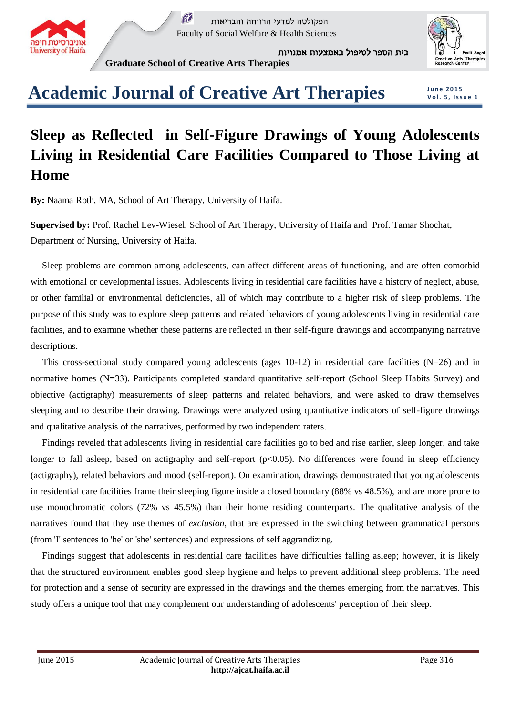

 $\tilde{M}$ הפקולטה למדעי הרווחה והבריאות Faculty of Social Welfare & Health Sciences

בית הספר לטיפול באמצעות אמנויות



**Graduate School of Creative Arts Therapies**

## **Academic Journal of Creative Art Therapies**

**J u n e 2 0 1 5 V o l. 5 , I s s u e 1**

## **Sleep as Reflected in Self-Figure Drawings of Young Adolescents Living in Residential Care Facilities Compared to Those Living at Home**

**By:** Naama Roth, MA, School of Art Therapy, University of Haifa.

**Supervised by:** Prof. Rachel Lev-Wiesel, School of Art Therapy, University of Haifa and Prof. Tamar Shochat, Department of Nursing, University of Haifa.

 Sleep problems are common among adolescents, can affect different areas of functioning, and are often comorbid with emotional or developmental issues. Adolescents living in residential care facilities have a history of neglect, abuse, or other familial or environmental deficiencies, all of which may contribute to a higher risk of sleep problems. The purpose of this study was to explore sleep patterns and related behaviors of young adolescents living in residential care facilities, and to examine whether these patterns are reflected in their self-figure drawings and accompanying narrative descriptions.

This cross-sectional study compared young adolescents (ages  $10-12$ ) in residential care facilities (N=26) and in normative homes (N=33). Participants completed standard quantitative self-report (School Sleep Habits Survey) and objective (actigraphy) measurements of sleep patterns and related behaviors, and were asked to draw themselves sleeping and to describe their drawing. Drawings were analyzed using quantitative indicators of self-figure drawings and qualitative analysis of the narratives, performed by two independent raters.

 Findings reveled that adolescents living in residential care facilities go to bed and rise earlier, sleep longer, and take longer to fall asleep, based on actigraphy and self-report (p<0.05). No differences were found in sleep efficiency (actigraphy), related behaviors and mood (self-report). On examination, drawings demonstrated that young adolescents in residential care facilities frame their sleeping figure inside a closed boundary (88% vs 48.5%), and are more prone to use monochromatic colors (72% vs 45.5%) than their home residing counterparts. The qualitative analysis of the narratives found that they use themes of *exclusion*, that are expressed in the switching between grammatical persons (from 'I' sentences to 'he' or 'she' sentences) and expressions of self aggrandizing.

 Findings suggest that adolescents in residential care facilities have difficulties falling asleep; however, it is likely that the structured environment enables good sleep hygiene and helps to prevent additional sleep problems. The need for protection and a sense of security are expressed in the drawings and the themes emerging from the narratives. This study offers a unique tool that may complement our understanding of adolescents' perception of their sleep.